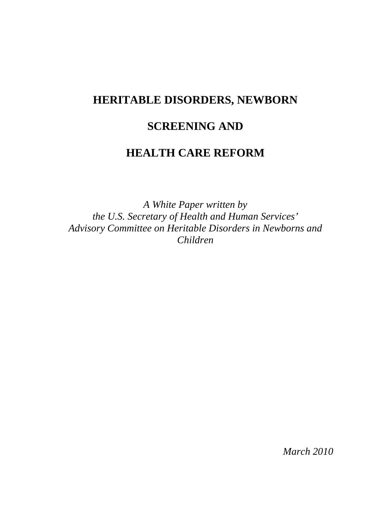# **HERITABLE DISORDERS, NEWBORN**

# **SCREENING AND**

## **HEALTH CARE REFORM**

*A White Paper written by the U.S. Secretary of Health and Human Services' Advisory Committee on Heritable Disorders in Newborns and Children* 

*March 2010*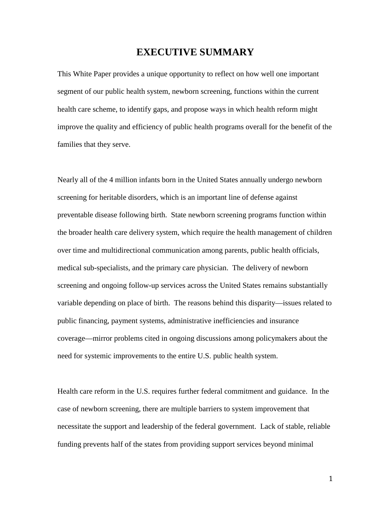## **EXECUTIVE SUMMARY**

This White Paper provides a unique opportunity to reflect on how well one important segment of our public health system, newborn screening, functions within the current health care scheme, to identify gaps, and propose ways in which health reform might improve the quality and efficiency of public health programs overall for the benefit of the families that they serve.

Nearly all of the 4 million infants born in the United States annually undergo newborn screening for heritable disorders, which is an important line of defense against preventable disease following birth. State newborn screening programs function within the broader health care delivery system, which require the health management of children over time and multidirectional communication among parents, public health officials, medical sub-specialists, and the primary care physician. The delivery of newborn screening and ongoing follow-up services across the United States remains substantially variable depending on place of birth. The reasons behind this disparity—issues related to public financing, payment systems, administrative inefficiencies and insurance coverage—mirror problems cited in ongoing discussions among policymakers about the need for systemic improvements to the entire U.S. public health system.

Health care reform in the U.S. requires further federal commitment and guidance. In the case of newborn screening, there are multiple barriers to system improvement that necessitate the support and leadership of the federal government. Lack of stable, reliable funding prevents half of the states from providing support services beyond minimal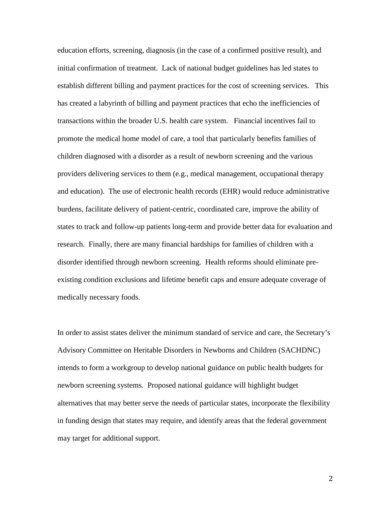education efforts, screening, diagnosis (in the case of a confirmed positive result), and initial confirmation of treatment. Lack of national budget guidelines has led states to establish different billing and payment practices for the cost of screening services. This has created a labyrinth of billing and payment practices that echo the inefficiencies of transactions within the broader U.S. health care system. Financial incentives fail to promote the medical home model of care, a tool that particularly benefits families of children diagnosed with a disorder as a result of newborn screening and the various providers delivering services to them (e.g., medical management, occupational therapy and education). The use of electronic health records (EHR) would reduce administrative burdens, facilitate delivery of patient-centric, coordinated care, improve the ability of states to track and follow-up patients long-term and provide better data for evaluation and research. Finally, there are many financial hardships for families of children with a disorder identified through newborn screening. Health reforms should eliminate preexisting condition exclusions and lifetime benefit caps and ensure adequate coverage of medically necessary foods.

In order to assist states deliver the minimum standard of service and care, the Secretary's Advisory Committee on Heritable Disorders in Newborns and Children (SACHDNC) intends to form a workgroup to develop national guidance on public health budgets for newborn screening systems. Proposed national guidance will highlight budget alternatives that may better serve the needs of particular states, incorporate the flexibility in funding design that states may require, and identify areas that the federal government may target for additional support.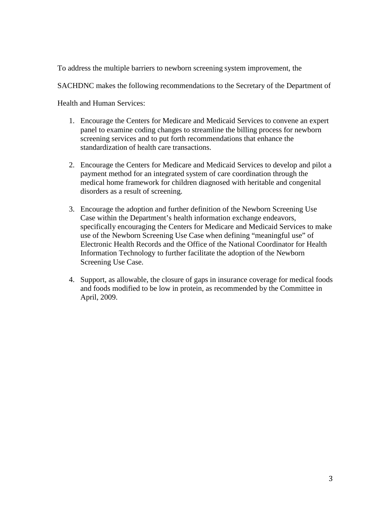To address the multiple barriers to newborn screening system improvement, the

SACHDNC makes the following recommendations to the Secretary of the Department of

Health and Human Services:

- 1. Encourage the Centers for Medicare and Medicaid Services to convene an expert panel to examine coding changes to streamline the billing process for newborn screening services and to put forth recommendations that enhance the standardization of health care transactions.
- 2. Encourage the Centers for Medicare and Medicaid Services to develop and pilot a payment method for an integrated system of care coordination through the medical home framework for children diagnosed with heritable and congenital disorders as a result of screening.
- 3. Encourage the adoption and further definition of the Newborn Screening Use Case within the Department's health information exchange endeavors, specifically encouraging the Centers for Medicare and Medicaid Services to make use of the Newborn Screening Use Case when defining "meaningful use" of Electronic Health Records and the Office of the National Coordinator for Health Information Technology to further facilitate the adoption of the Newborn Screening Use Case.
- 4. Support, as allowable, the closure of gaps in insurance coverage for medical foods and foods modified to be low in protein, as recommended by the Committee in April, 2009.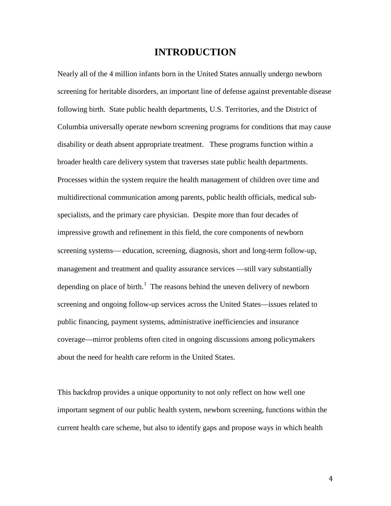## **INTRODUCTION**

Nearly all of the 4 million infants born in the United States annually undergo newborn screening for heritable disorders, an important line of defense against preventable disease following birth. State public health departments, U.S. Territories, and the District of Columbia universally operate newborn screening programs for conditions that may cause disability or death absent appropriate treatment. These programs function within a broader health care delivery system that traverses state public health departments. Processes within the system require the health management of children over time and multidirectional communication among parents, public health officials, medical subspecialists, and the primary care physician. Despite more than four decades of impressive growth and refinement in this field, the core components of newborn screening systems— education, screening, diagnosis, short and long-term follow-up, management and treatment and quality assurance services —still vary substantially depending on place of birth.<sup>[1](#page-19-0)</sup> The reasons behind the uneven delivery of newborn screening and ongoing follow-up services across the United States—issues related to public financing, payment systems, administrative inefficiencies and insurance coverage—mirror problems often cited in ongoing discussions among policymakers about the need for health care reform in the United States.

This backdrop provides a unique opportunity to not only reflect on how well one important segment of our public health system, newborn screening, functions within the current health care scheme, but also to identify gaps and propose ways in which health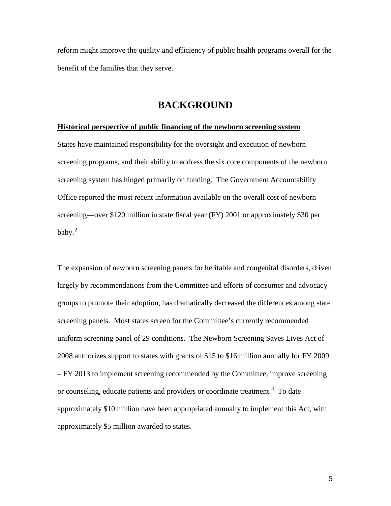reform might improve the quality and efficiency of public health programs overall for the benefit of the families that they serve.

## **BACKGROUND**

#### **Historical perspective of public financing of the newborn screening system**

States have maintained responsibility for the oversight and execution of newborn screening programs, and their ability to address the six core components of the newborn screening system has hinged primarily on funding. The Government Accountability Office reported the most recent information available on the overall cost of newborn screening—over \$120 million in state fiscal year (FY) 2001 or approximately \$30 per baby. $^{2}$  $^{2}$  $^{2}$ 

The expansion of newborn screening panels for heritable and congenital disorders, driven largely by recommendations from the Committee and efforts of consumer and advocacy groups to promote their adoption, has dramatically decreased the differences among state screening panels. Most states screen for the Committee's currently recommended uniform screening panel of 29 conditions. The Newborn Screening Saves Lives Act of 2008 authorizes support to states with grants of \$15 to \$16 million annually for FY 2009 – FY 2013 to implement screening recommended by the Committee, improve screening or counseling, educate patients and providers or coordinate treatment.<sup>[3](#page-19-2)</sup> To date approximately \$10 million have been appropriated annually to implement this Act, with approximately \$5 million awarded to states.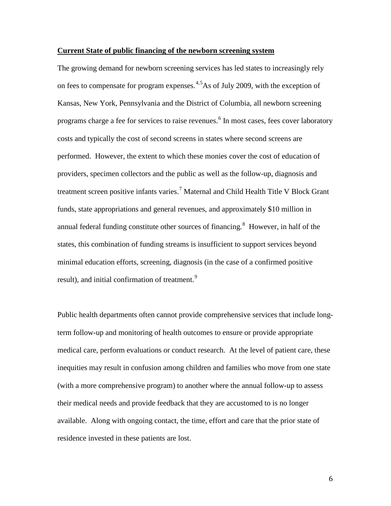#### **Current State of public financing of the newborn screening system**

The growing demand for newborn screening services has led states to increasingly rely on fees to compensate for program expenses.<sup>[4,](#page-19-3)[5](#page-19-4)</sup>As of July 2009, with the exception of Kansas, New York, Pennsylvania and the District of Columbia, all newborn screening programs charge a fee for services to raise revenues.<sup>[6](#page-19-5)</sup> In most cases, fees cover laboratory costs and typically the cost of second screens in states where second screens are performed. However, the extent to which these monies cover the cost of education of providers, specimen collectors and the public as well as the follow-up, diagnosis and treatment screen positive infants varies.<sup>[7](#page-19-6)</sup> Maternal and Child Health Title V Block Grant funds, state appropriations and general revenues, and approximately \$10 million in annual federal funding constitute other sources of financing.<sup>[8](#page-19-7)</sup> However, in half of the states, this combination of funding streams is insufficient to support services beyond minimal education efforts, screening, diagnosis (in the case of a confirmed positive result), and initial confirmation of treatment.<sup>[9](#page-19-8)</sup>

Public health departments often cannot provide comprehensive services that include longterm follow-up and monitoring of health outcomes to ensure or provide appropriate medical care, perform evaluations or conduct research. At the level of patient care, these inequities may result in confusion among children and families who move from one state (with a more comprehensive program) to another where the annual follow-up to assess their medical needs and provide feedback that they are accustomed to is no longer available. Along with ongoing contact, the time, effort and care that the prior state of residence invested in these patients are lost.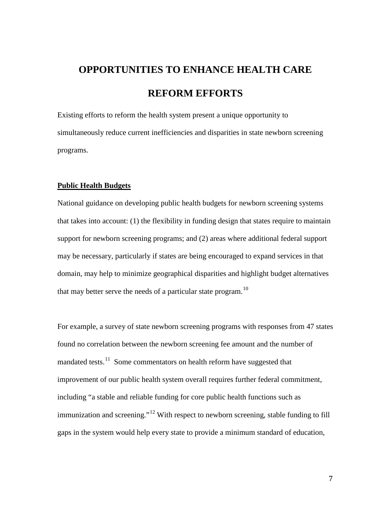# **OPPORTUNITIES TO ENHANCE HEALTH CARE REFORM EFFORTS**

Existing efforts to reform the health system present a unique opportunity to simultaneously reduce current inefficiencies and disparities in state newborn screening programs.

#### **Public Health Budgets**

National guidance on developing public health budgets for newborn screening systems that takes into account: (1) the flexibility in funding design that states require to maintain support for newborn screening programs; and (2) areas where additional federal support may be necessary, particularly if states are being encouraged to expand services in that domain, may help to minimize geographical disparities and highlight budget alternatives that may better serve the needs of a particular state program.<sup>10</sup>

For example, a survey of state newborn screening programs with responses from 47 states found no correlation between the newborn screening fee amount and the number of mandated tests.<sup>11</sup> Some commentators on health reform have suggested that improvement of our public health system overall requires further federal commitment, including "a stable and reliable funding for core public health functions such as immunization and screening."<sup>12</sup> With respect to newborn screening, stable funding to fill gaps in the system would help every state to provide a minimum standard of education,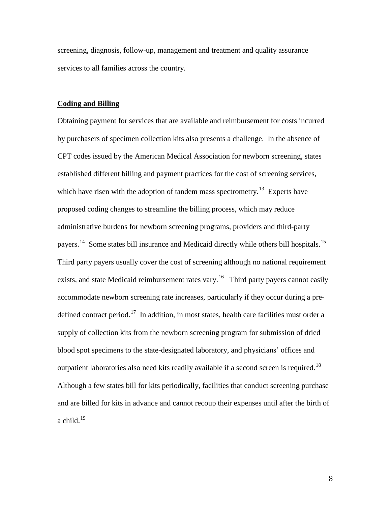screening, diagnosis, follow-up, management and treatment and quality assurance services to all families across the country.

#### **Coding and Billing**

Obtaining payment for services that are available and reimbursement for costs incurred by purchasers of specimen collection kits also presents a challenge. In the absence of CPT codes issued by the American Medical Association for newborn screening, states established different billing and payment practices for the cost of screening services, which have risen with the adoption of tandem mass spectrometry.<sup>13</sup> Experts have proposed coding changes to streamline the billing process, which may reduce administrative burdens for newborn screening programs, providers and third-party payers.<sup>14</sup> Some states bill insurance and Medicaid directly while others bill hospitals.<sup>15</sup> Third party payers usually cover the cost of screening although no national requirement exists, and state Medicaid reimbursement rates vary.<sup>16</sup> Third party payers cannot easily accommodate newborn screening rate increases, particularly if they occur during a pre-defined contract period.<sup>[17](#page-19-16)</sup> In addition, in most states, health care facilities must order a supply of collection kits from the newborn screening program for submission of dried blood spot specimens to the state-designated laboratory, and physicians' offices and outpatient laboratories also need kits readily available if a second screen is required.<sup>18</sup> Although a few states bill for kits periodically, facilities that conduct screening purchase and are billed for kits in advance and cannot recoup their expenses until after the birth of a child. $19$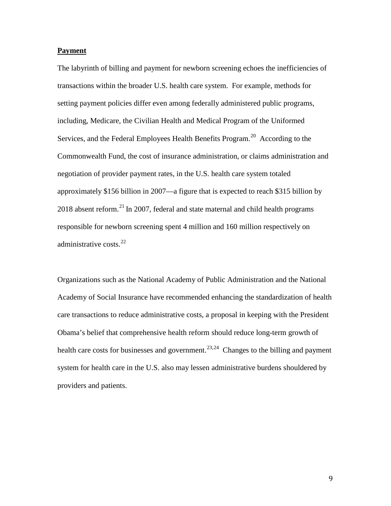#### **Payment**

The labyrinth of billing and payment for newborn screening echoes the inefficiencies of transactions within the broader U.S. health care system. For example, methods for setting payment policies differ even among federally administered public programs, including, Medicare, the Civilian Health and Medical Program of the Uniformed Services, and the Federal Employees Health Benefits Program.<sup>20</sup> According to the Commonwealth Fund, the cost of insurance administration, or claims administration and negotiation of provider payment rates, in the U.S. health care system totaled approximately \$156 billion in 2007—a figure that is expected to reach \$315 billion by  $2018$  absent reform.<sup>[21](#page-20-1)</sup> In 2007, federal and state maternal and child health programs responsible for newborn screening spent 4 million and 160 million respectively on administrative costs. $^{22}$  $^{22}$  $^{22}$ 

Organizations such as the National Academy of Public Administration and the National Academy of Social Insurance have recommended enhancing the standardization of health care transactions to reduce administrative costs, a proposal in keeping with the President Obama's belief that comprehensive health reform should reduce long-term growth of health care costs for businesses and government.<sup>[23](#page-20-3),24</sup> Changes to the billing and payment system for health care in the U.S. also may lessen administrative burdens shouldered by providers and patients.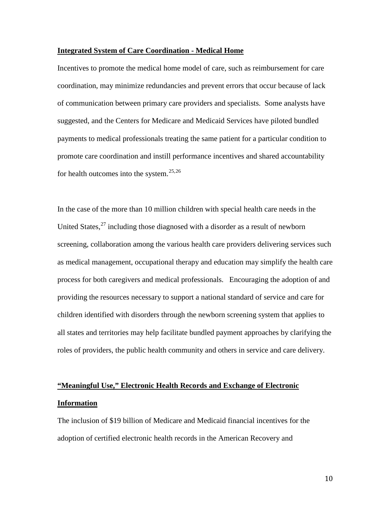#### **Integrated System of Care Coordination - Medical Home**

Incentives to promote the medical home model of care, such as reimbursement for care coordination, may minimize redundancies and prevent errors that occur because of lack of communication between primary care providers and specialists. Some analysts have suggested, and the Centers for Medicare and Medicaid Services have piloted bundled payments to medical professionals treating the same patient for a particular condition to promote care coordination and instill performance incentives and shared accountability for health outcomes into the system. $25,26$  $25,26$ 

In the case of the more than 10 million children with special health care needs in the United States,  $27$  including those diagnosed with a disorder as a result of newborn screening, collaboration among the various health care providers delivering services such as medical management, occupational therapy and education may simplify the health care process for both caregivers and medical professionals. Encouraging the adoption of and providing the resources necessary to support a national standard of service and care for children identified with disorders through the newborn screening system that applies to all states and territories may help facilitate bundled payment approaches by clarifying the roles of providers, the public health community and others in service and care delivery.

# **"Meaningful Use," Electronic Health Records and Exchange of Electronic Information**

The inclusion of \$19 billion of Medicare and Medicaid financial incentives for the adoption of certified electronic health records in the American Recovery and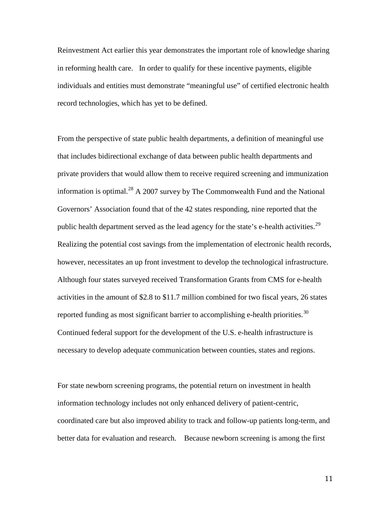Reinvestment Act earlier this year demonstrates the important role of knowledge sharing in reforming health care. In order to qualify for these incentive payments, eligible individuals and entities must demonstrate "meaningful use" of certified electronic health record technologies, which has yet to be defined.

From the perspective of state public health departments, a definition of meaningful use that includes bidirectional exchange of data between public health departments and private providers that would allow them to receive required screening and immunization information is optimal.<sup>[28](#page-20-8)</sup> A 2007 survey by The Commonwealth Fund and the National Governors' Association found that of the 42 states responding, nine reported that the public health department served as the lead agency for the state's e-health activities.<sup>[29](#page-20-9)</sup> Realizing the potential cost savings from the implementation of electronic health records, however, necessitates an up front investment to develop the technological infrastructure. Although four states surveyed received Transformation Grants from CMS for e-health activities in the amount of \$2.8 to \$11.7 million combined for two fiscal years, 26 states reported funding as most significant barrier to accomplishing e-health priorities.<sup>[30](#page-20-10)</sup> Continued federal support for the development of the U.S. e-health infrastructure is necessary to develop adequate communication between counties, states and regions.

For state newborn screening programs, the potential return on investment in health information technology includes not only enhanced delivery of patient-centric, coordinated care but also improved ability to track and follow-up patients long-term, and better data for evaluation and research. Because newborn screening is among the first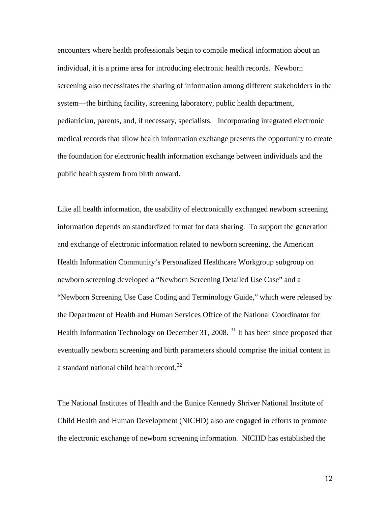encounters where health professionals begin to compile medical information about an individual, it is a prime area for introducing electronic health records. Newborn screening also necessitates the sharing of information among different stakeholders in the system—the birthing facility, screening laboratory, public health department, pediatrician, parents, and, if necessary, specialists. Incorporating integrated electronic medical records that allow health information exchange presents the opportunity to create the foundation for electronic health information exchange between individuals and the public health system from birth onward.

Like all health information, the usability of electronically exchanged newborn screening information depends on standardized format for data sharing. To support the generation and exchange of electronic information related to newborn screening, the American Health Information Community's Personalized Healthcare Workgroup subgroup on newborn screening developed a "Newborn Screening Detailed Use Case" and a "Newborn Screening Use Case Coding and Terminology Guide," which were released by the Department of Health and Human Services Office of the National Coordinator for Health Information Technology on December [31](#page-20-11), 2008.<sup>31</sup> It has been since proposed that eventually newborn screening and birth parameters should comprise the initial content in a standard national child health record.<sup>[32](#page-20-12)</sup>

The National Institutes of Health and the Eunice Kennedy Shriver National Institute of Child Health and Human Development (NICHD) also are engaged in efforts to promote the electronic exchange of newborn screening information. NICHD has established the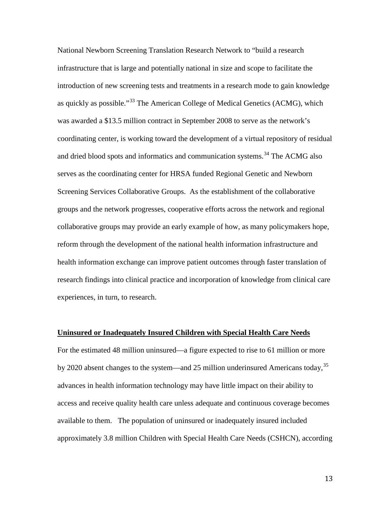National Newborn Screening Translation Research Network to "build a research infrastructure that is large and potentially national in size and scope to facilitate the introduction of new screening tests and treatments in a research mode to gain knowledge as quickly as possible."[33](#page-20-13) The American College of Medical Genetics (ACMG), which was awarded a \$13.5 million contract in September 2008 to serve as the network's coordinating center, is working toward the development of a virtual repository of residual and dried blood spots and informatics and communication systems.<sup>[34](#page-20-14)</sup> The ACMG also serves as the coordinating center for HRSA funded Regional Genetic and Newborn Screening Services Collaborative Groups. As the establishment of the collaborative groups and the network progresses, cooperative efforts across the network and regional collaborative groups may provide an early example of how, as many policymakers hope, reform through the development of the national health information infrastructure and health information exchange can improve patient outcomes through faster translation of research findings into clinical practice and incorporation of knowledge from clinical care experiences, in turn, to research.

#### **Uninsured or Inadequately Insured Children with Special Health Care Needs**

For the estimated 48 million uninsured—a figure expected to rise to 61 million or more by 2020 absent changes to the system—and 25 million underinsured Americans today,<sup>[35](#page-20-15)</sup> advances in health information technology may have little impact on their ability to access and receive quality health care unless adequate and continuous coverage becomes available to them. The population of uninsured or inadequately insured included approximately 3.8 million Children with Special Health Care Needs (CSHCN), according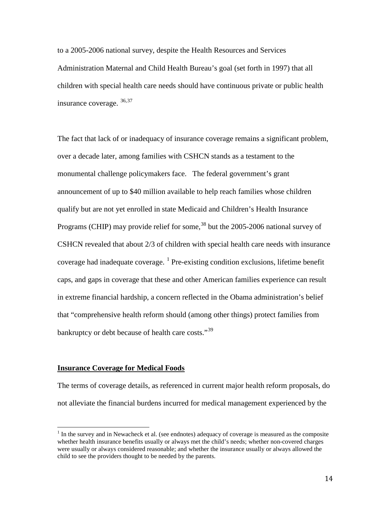to a 2005-2006 national survey, despite the Health Resources and Services Administration Maternal and Child Health Bureau's goal (set forth in 1997) that all children with special health care needs should have continuous private or public health insurance coverage. [36,](#page-20-16)[37](#page-20-17) 

The fact that lack of or inadequacy of insurance coverage remains a significant problem, over a decade later, among families with CSHCN stands as a testament to the monumental challenge policymakers face. The federal government's grant announcement of up to \$40 million available to help reach families whose children qualify but are not yet enrolled in state Medicaid and Children's Health Insurance Programs (CHIP) may provide relief for some,<sup>38</sup> but the 2005-2006 national survey of CSHCN revealed that about 2/3 of children with special health care needs with insurance coverage had inadequate coverage.  $<sup>1</sup>$  $<sup>1</sup>$  $<sup>1</sup>$  Pre-existing condition exclusions, lifetime benefit</sup> caps, and gaps in coverage that these and other American families experience can result in extreme financial hardship, a concern reflected in the Obama administration's belief that "comprehensive health reform should (among other things) protect families from bankruptcy or debt because of health care costs."<sup>[39](#page-20-19)</sup>

#### **Insurance Coverage for Medical Foods**

The terms of coverage details, as referenced in current major health reform proposals, do not alleviate the financial burdens incurred for medical management experienced by the

<span id="page-14-0"></span> $\overline{1}$  $<sup>1</sup>$  In the survey and in Newacheck et al. (see endnotes) adequacy of coverage is measured as the composite</sup> whether health insurance benefits usually or always met the child's needs; whether non-covered charges were usually or always considered reasonable; and whether the insurance usually or always allowed the child to see the providers thought to be needed by the parents.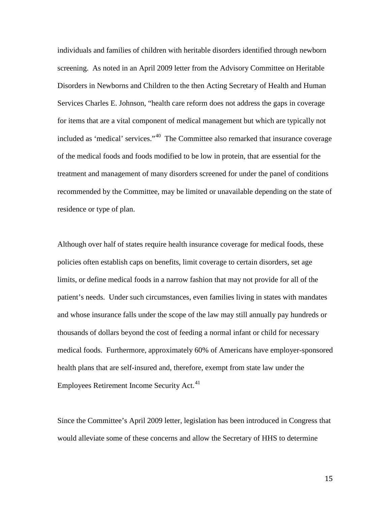individuals and families of children with heritable disorders identified through newborn screening. As noted in an April 2009 letter from the Advisory Committee on Heritable Disorders in Newborns and Children to the then Acting Secretary of Health and Human Services Charles E. Johnson, "health care reform does not address the gaps in coverage for items that are a vital component of medical management but which are typically not included as 'medical' services."[40](#page-21-0) The Committee also remarked that insurance coverage of the medical foods and foods modified to be low in protein, that are essential for the treatment and management of many disorders screened for under the panel of conditions recommended by the Committee, may be limited or unavailable depending on the state of residence or type of plan.

Although over half of states require health insurance coverage for medical foods, these policies often establish caps on benefits, limit coverage to certain disorders, set age limits, or define medical foods in a narrow fashion that may not provide for all of the patient's needs. Under such circumstances, even families living in states with mandates and whose insurance falls under the scope of the law may still annually pay hundreds or thousands of dollars beyond the cost of feeding a normal infant or child for necessary medical foods. Furthermore, approximately 60% of Americans have employer-sponsored health plans that are self-insured and, therefore, exempt from state law under the Employees Retirement Income Security Act.<sup>41</sup>

Since the Committee's April 2009 letter, legislation has been introduced in Congress that would alleviate some of these concerns and allow the Secretary of HHS to determine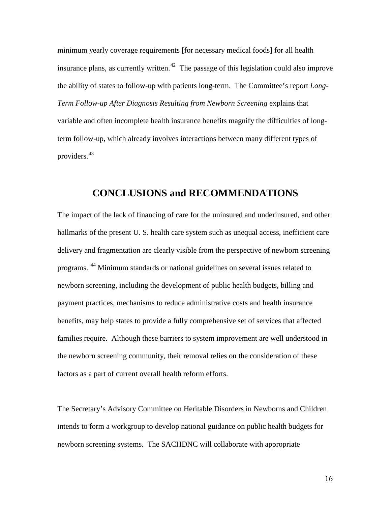minimum yearly coverage requirements [for necessary medical foods] for all health insurance plans, as currently written.<sup>[42](#page-21-2)</sup> The passage of this legislation could also improve the ability of states to follow-up with patients long-term. The Committee's report *Long-Term Follow-up After Diagnosis Resulting from Newborn Screening* explains that variable and often incomplete health insurance benefits magnify the difficulties of longterm follow-up, which already involves interactions between many different types of providers.[43](#page-21-3)

## **CONCLUSIONS and RECOMMENDATIONS**

The impact of the lack of financing of care for the uninsured and underinsured, and other hallmarks of the present U. S. health care system such as unequal access, inefficient care delivery and fragmentation are clearly visible from the perspective of newborn screening programs. [44](#page-21-4) Minimum standards or national guidelines on several issues related to newborn screening, including the development of public health budgets, billing and payment practices, mechanisms to reduce administrative costs and health insurance benefits, may help states to provide a fully comprehensive set of services that affected families require. Although these barriers to system improvement are well understood in the newborn screening community, their removal relies on the consideration of these factors as a part of current overall health reform efforts.

The Secretary's Advisory Committee on Heritable Disorders in Newborns and Children intends to form a workgroup to develop national guidance on public health budgets for newborn screening systems. The SACHDNC will collaborate with appropriate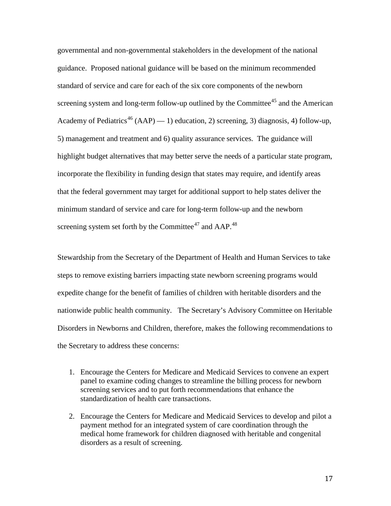governmental and non-governmental stakeholders in the development of the national guidance. Proposed national guidance will be based on the minimum recommended standard of service and care for each of the six core components of the newborn screening system and long-term follow-up outlined by the Committee<sup>[45](#page-21-5)</sup> and the American Academy of Pediatrics<sup>[46](#page-21-6)</sup> (AAP) — 1) education, 2) screening, 3) diagnosis, 4) follow-up, 5) management and treatment and 6) quality assurance services. The guidance will highlight budget alternatives that may better serve the needs of a particular state program, incorporate the flexibility in funding design that states may require, and identify areas that the federal government may target for additional support to help states deliver the minimum standard of service and care for long-term follow-up and the newborn screening system set forth by the Committee<sup>[47](#page-21-7)</sup> and AAP.<sup>48</sup>

Stewardship from the Secretary of the Department of Health and Human Services to take steps to remove existing barriers impacting state newborn screening programs would expedite change for the benefit of families of children with heritable disorders and the nationwide public health community. The Secretary's Advisory Committee on Heritable Disorders in Newborns and Children, therefore, makes the following recommendations to the Secretary to address these concerns:

- 1. Encourage the Centers for Medicare and Medicaid Services to convene an expert panel to examine coding changes to streamline the billing process for newborn screening services and to put forth recommendations that enhance the standardization of health care transactions.
- 2. Encourage the Centers for Medicare and Medicaid Services to develop and pilot a payment method for an integrated system of care coordination through the medical home framework for children diagnosed with heritable and congenital disorders as a result of screening.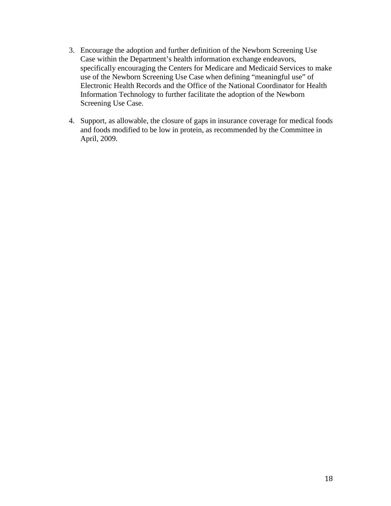- 3. Encourage the adoption and further definition of the Newborn Screening Use Case within the Department's health information exchange endeavors, specifically encouraging the Centers for Medicare and Medicaid Services to make use of the Newborn Screening Use Case when defining "meaningful use" of Electronic Health Records and the Office of the National Coordinator for Health Information Technology to further facilitate the adoption of the Newborn Screening Use Case.
- 4. Support, as allowable, the closure of gaps in insurance coverage for medical foods and foods modified to be low in protein, as recommended by the Committee in April, 2009.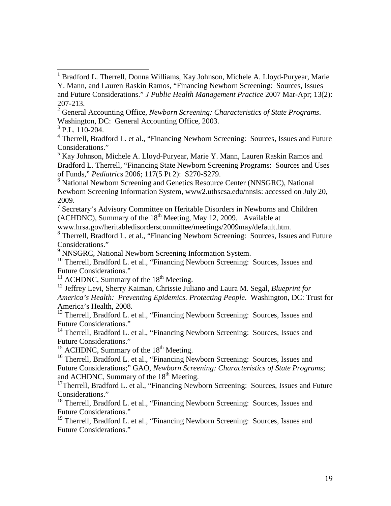<span id="page-19-1"></span><sup>2</sup> General Accounting Office, *Newborn Screening: Characteristics of State Programs*. Washington, DC: General Accounting Office, 2003.

<span id="page-19-3"></span><sup>4</sup> Therrell, Bradford L. et al., "Financing Newborn Screening: Sources, Issues and Future Considerations."

<span id="page-19-4"></span><sup>5</sup> Kay Johnson, Michele A. Lloyd-Puryear, Marie Y. Mann, Lauren Raskin Ramos and Bradford L. Therrell, "Financing State Newborn Screening Programs: Sources and Uses of Funds," *Pediatric*s 2006; 117(5 Pt 2): S270-S279.

<span id="page-19-5"></span><sup>6</sup> National Newborn Screening and Genetics Resource Center (NNSGRC), National Newborn Screening Information System, www2.uthscsa.edu/nnsis: accessed on July 20, 2009.

<span id="page-19-6"></span> $7$  Secretary's Advisory Committee on Heritable Disorders in Newborns and Children  $(ACHDNC)$ , Summary of the  $18<sup>th</sup>$  Meeting, May 12, 2009. Available at

www.hrsa.gov/heritabledisorderscommittee/meetings/2009may/default.htm.

<span id="page-19-7"></span><sup>8</sup> Therrell, Bradford L. et al., "Financing Newborn Screening: Sources, Issues and Future Considerations."

<sup>9</sup> NNSGRC, National Newborn Screening Information System.

<span id="page-19-9"></span><span id="page-19-8"></span><sup>10</sup> Therrell, Bradford L. et al., "Financing Newborn Screening: Sources, Issues and Future Considerations."

<span id="page-19-10"></span><sup>11</sup> ACHDNC, Summary of the  $18<sup>th</sup>$  Meeting.

<span id="page-19-11"></span>12 Jeffrey Levi, Sherry Kaiman, Chrissie Juliano and Laura M. Segal, *Blueprint for America's Health: Preventing Epidemics. Protecting People*. Washington, DC: Trust for America's Health, 2008.

<span id="page-19-12"></span><sup>13</sup> Therrell, Bradford L. et al., "Financing Newborn Screening: Sources, Issues and Future Considerations."

<span id="page-19-13"></span><sup>14</sup> Therrell, Bradford L. et al., "Financing Newborn Screening: Sources, Issues and Future Considerations."

<span id="page-19-14"></span> $15$  ACHDNC, Summary of the  $18<sup>th</sup>$  Meeting.

<span id="page-19-15"></span><sup>16</sup> Therrell, Bradford L. et al., "Financing Newborn Screening: Sources, Issues and Future Considerations;" GAO, *Newborn Screening: Characteristics of State Programs*; and ACHDNC, Summary of the 18<sup>th</sup> Meeting.

<span id="page-19-16"></span><sup>17</sup>Therrell, Bradford L. et al., "Financing Newborn Screening: Sources, Issues and Future Considerations."

<span id="page-19-17"></span><sup>18</sup> Therrell, Bradford L. et al., "Financing Newborn Screening: Sources, Issues and Future Considerations."

<span id="page-19-18"></span><sup>19</sup> Therrell, Bradford L. et al., "Financing Newborn Screening: Sources, Issues and Future Considerations."

<span id="page-19-0"></span><sup>1&</sup>lt;br><sup>1</sup> Bradford L. Therrell, Donna Williams, Kay Johnson, Michele A. Lloyd-Puryear, Marie Y. Mann, and Lauren Raskin Ramos, "Financing Newborn Screening: Sources, Issues and Future Considerations." *J Public Health Management Practice* 2007 Mar-Apr; 13(2): 207-213.

<span id="page-19-2"></span> $3$  P.L. 110-204.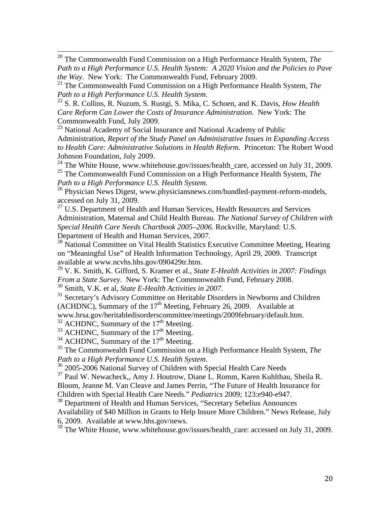<span id="page-20-0"></span> 20 The Commonwealth Fund Commission on a High Performance Health System, *The Path to a High Performance U.S. Health System: A 2020 Vision and the Policies to Pave the Way*. New York: The Commonwealth Fund, February 2009.

<span id="page-20-1"></span>21 The Commonwealth Fund Commission on a High Performance Health System, *The Path to a High Performance U.S. Health System.* 22 S. R. Collins, R. Nuzum, S. Rustgi, S. Mika, C. Schoen, and K. Davis, *How Health* 

<span id="page-20-2"></span>*Care Reform Can Lower the Costs of Insurance Administration*. New York: The Commonwealth Fund, July 2009.

<span id="page-20-3"></span><sup>23</sup> National Academy of Social Insurance and National Academy of Public Administration, *Report of the Study Panel on Administrative Issues in Expanding Access to Health Care: Administrative Solutions in Health Reform*. Princeton: The Robert Wood Johnson Foundation, July 2009.

<span id="page-20-4"></span> $^{24}$  The White House, www.whitehouse.gov/issues/health\_care, accessed on July 31, 2009. 25 The Commonwealth Fund Commission on a High Performance Health System, *The* 

<span id="page-20-6"></span><span id="page-20-5"></span>*Path to a High Performance U.S. Health System.* <sup>26</sup> Physician News Digest, www.physiciansnews.com/bundled-payment-reform-models, accessed on July 31, 2009.

<span id="page-20-7"></span> $27$  U.S. Department of Health and Human Services, Health Resources and Services Administration, Maternal and Child Health Bureau. *The National Survey of Children with Special Health Care Needs Chartbook 2005–2006*. Rockville, Maryland: U.S. Department of Health and Human Services, 2007.

<span id="page-20-8"></span><sup>28</sup> National Committee on Vital Health Statistics Executive Committee Meeting, Hearing on "Meaningful Use" of Health Information Technology, April 29, 2009. Transcript available at www.ncvhs.hhs.gov/090429tr.htm.

<span id="page-20-9"></span>29 V. K. Smith, K. Gifford, S. Kramer et al., *State E-Health Activities in 2007: Findings From a State Survey.* New York: The Commonwealth Fund, February 2008. <sup>30</sup> Smith, V.K. et al, *State E-Health Activities in 2007*.

<span id="page-20-11"></span><span id="page-20-10"></span><sup>31</sup> Secretary's Advisory Committee on Heritable Disorders in Newborns and Children (ACHDNC), Summary of the  $17<sup>th</sup>$  Meeting, February 26, 2009. Available at

www.hrsa.gov/heritabledisorderscommittee/meetings/2009february/default.htm.

<span id="page-20-12"></span> $32$  ACHDNC, Summary of the 17<sup>th</sup> Meeting.

<span id="page-20-13"></span> $33$  ACHDNC, Summary of the 17<sup>th</sup> Meeting.

<span id="page-20-14"></span> $34$  ACHDNC, Summary of the 17<sup>th</sup> Meeting.

<span id="page-20-15"></span><sup>35</sup> The Commonwealth Fund Commission on a High Performance Health System, *The Path to a High Performance U.S. Health System.* 

<span id="page-20-16"></span><sup>36</sup> 2005-2006 National Survey of Children with Special Health Care Needs

<span id="page-20-17"></span>37 Paul W. Newacheck,, Amy J. Houtrow, Diane L. Romm, Karen Kuhlthau, Sheila R. Bloom, Jeanne M. Van Cleave and James Perrin, "The Future of Health Insurance for Children with Special Health Care Needs." *Pediatrics* 2009; 123:e940-e947.

<span id="page-20-18"></span><sup>38</sup> Department of Health and Human Services, "Secretary Sebelius Announces Availability of \$40 Million in Grants to Help Insure More Children." News Release, July 6, 2009. Available at www.hhs.gov/news.

<span id="page-20-19"></span><sup>39</sup> The White House, www.whitehouse.gov/issues/health\_care: accessed on July 31, 2009.